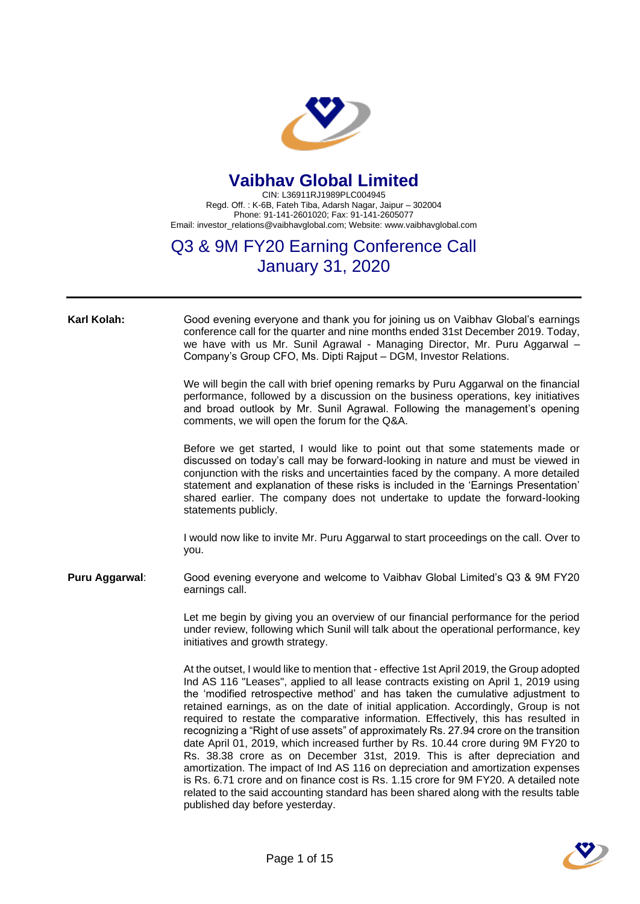

## **Vaibhav Global Limited**

CIN: L36911RJ1989PLC004945 Regd. Off. : K-6B, Fateh Tiba, Adarsh Nagar, Jaipur – 302004 Phone: 91-141-2601020; Fax: 91-141-2605077 Email: investor\_relations@vaibhavglobal.com; Website: www.vaibhavglobal.com

## Q3 & 9M FY20 Earning Conference Call January 31, 2020

**Karl Kolah:** Good evening everyone and thank you for joining us on Vaibhav Global's earnings conference call for the quarter and nine months ended 31st December 2019. Today, we have with us Mr. Sunil Agrawal - Managing Director, Mr. Puru Aggarwal -Company's Group CFO, Ms. Dipti Rajput – DGM, Investor Relations.

> We will begin the call with brief opening remarks by Puru Aggarwal on the financial performance, followed by a discussion on the business operations, key initiatives and broad outlook by Mr. Sunil Agrawal. Following the management's opening comments, we will open the forum for the Q&A.

> Before we get started, I would like to point out that some statements made or discussed on today's call may be forward-looking in nature and must be viewed in conjunction with the risks and uncertainties faced by the company. A more detailed statement and explanation of these risks is included in the 'Earnings Presentation' shared earlier. The company does not undertake to update the forward-looking statements publicly.

> I would now like to invite Mr. Puru Aggarwal to start proceedings on the call. Over to you.

**Puru Aggarwal**: Good evening everyone and welcome to Vaibhav Global Limited's Q3 & 9M FY20 earnings call.

> Let me begin by giving you an overview of our financial performance for the period under review, following which Sunil will talk about the operational performance, key initiatives and growth strategy.

> At the outset, I would like to mention that - effective 1st April 2019, the Group adopted Ind AS 116 "Leases", applied to all lease contracts existing on April 1, 2019 using the 'modified retrospective method' and has taken the cumulative adjustment to retained earnings, as on the date of initial application. Accordingly, Group is not required to restate the comparative information. Effectively, this has resulted in recognizing a "Right of use assets" of approximately Rs. 27.94 crore on the transition date April 01, 2019, which increased further by Rs. 10.44 crore during 9M FY20 to Rs. 38.38 crore as on December 31st, 2019. This is after depreciation and amortization. The impact of Ind AS 116 on depreciation and amortization expenses is Rs. 6.71 crore and on finance cost is Rs. 1.15 crore for 9M FY20. A detailed note related to the said accounting standard has been shared along with the results table published day before yesterday.

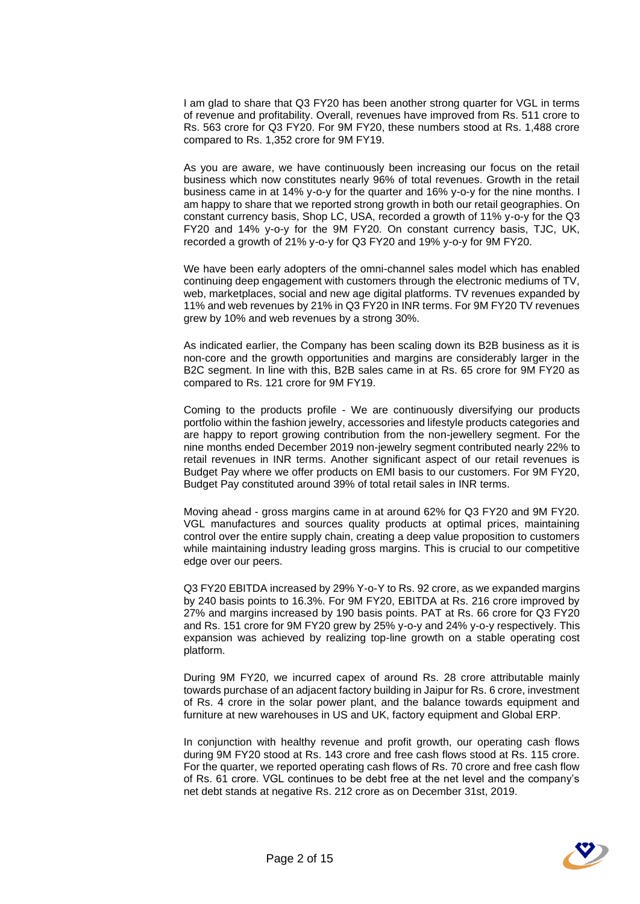I am glad to share that Q3 FY20 has been another strong quarter for VGL in terms of revenue and profitability. Overall, revenues have improved from Rs. 511 crore to Rs. 563 crore for Q3 FY20. For 9M FY20, these numbers stood at Rs. 1,488 crore compared to Rs. 1,352 crore for 9M FY19.

As you are aware, we have continuously been increasing our focus on the retail business which now constitutes nearly 96% of total revenues. Growth in the retail business came in at 14% y-o-y for the quarter and 16% y-o-y for the nine months. I am happy to share that we reported strong growth in both our retail geographies. On constant currency basis, Shop LC, USA, recorded a growth of 11% y-o-y for the Q3 FY20 and 14% y-o-y for the 9M FY20. On constant currency basis, TJC, UK, recorded a growth of 21% y-o-y for Q3 FY20 and 19% y-o-y for 9M FY20.

We have been early adopters of the omni-channel sales model which has enabled continuing deep engagement with customers through the electronic mediums of TV, web, marketplaces, social and new age digital platforms. TV revenues expanded by 11% and web revenues by 21% in Q3 FY20 in INR terms. For 9M FY20 TV revenues grew by 10% and web revenues by a strong 30%.

As indicated earlier, the Company has been scaling down its B2B business as it is non-core and the growth opportunities and margins are considerably larger in the B2C segment. In line with this, B2B sales came in at Rs. 65 crore for 9M FY20 as compared to Rs. 121 crore for 9M FY19.

Coming to the products profile - We are continuously diversifying our products portfolio within the fashion jewelry, accessories and lifestyle products categories and are happy to report growing contribution from the non-jewellery segment. For the nine months ended December 2019 non-jewelry segment contributed nearly 22% to retail revenues in INR terms. Another significant aspect of our retail revenues is Budget Pay where we offer products on EMI basis to our customers. For 9M FY20, Budget Pay constituted around 39% of total retail sales in INR terms.

Moving ahead - gross margins came in at around 62% for Q3 FY20 and 9M FY20. VGL manufactures and sources quality products at optimal prices, maintaining control over the entire supply chain, creating a deep value proposition to customers while maintaining industry leading gross margins. This is crucial to our competitive edge over our peers.

Q3 FY20 EBITDA increased by 29% Y-o-Y to Rs. 92 crore, as we expanded margins by 240 basis points to 16.3%. For 9M FY20, EBITDA at Rs. 216 crore improved by 27% and margins increased by 190 basis points. PAT at Rs. 66 crore for Q3 FY20 and Rs. 151 crore for 9M FY20 grew by 25% y-o-y and 24% y-o-y respectively. This expansion was achieved by realizing top-line growth on a stable operating cost platform.

During 9M FY20, we incurred capex of around Rs. 28 crore attributable mainly towards purchase of an adjacent factory building in Jaipur for Rs. 6 crore, investment of Rs. 4 crore in the solar power plant, and the balance towards equipment and furniture at new warehouses in US and UK, factory equipment and Global ERP.

In conjunction with healthy revenue and profit growth, our operating cash flows during 9M FY20 stood at Rs. 143 crore and free cash flows stood at Rs. 115 crore. For the quarter, we reported operating cash flows of Rs. 70 crore and free cash flow of Rs. 61 crore. VGL continues to be debt free at the net level and the company's net debt stands at negative Rs. 212 crore as on December 31st, 2019.

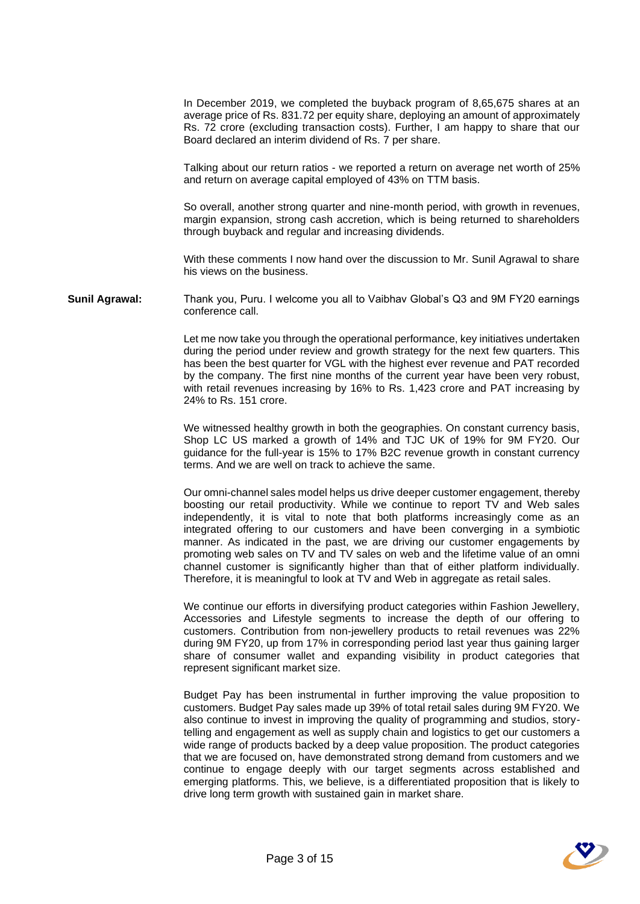In December 2019, we completed the buyback program of 8,65,675 shares at an average price of Rs. 831.72 per equity share, deploying an amount of approximately Rs. 72 crore (excluding transaction costs). Further, I am happy to share that our Board declared an interim dividend of Rs. 7 per share.

Talking about our return ratios - we reported a return on average net worth of 25% and return on average capital employed of 43% on TTM basis.

So overall, another strong quarter and nine-month period, with growth in revenues, margin expansion, strong cash accretion, which is being returned to shareholders through buyback and regular and increasing dividends.

With these comments I now hand over the discussion to Mr. Sunil Agrawal to share his views on the business.

**Sunil Agrawal:** Thank you, Puru. I welcome you all to Vaibhav Global's Q3 and 9M FY20 earnings conference call.

> Let me now take you through the operational performance, key initiatives undertaken during the period under review and growth strategy for the next few quarters. This has been the best quarter for VGL with the highest ever revenue and PAT recorded by the company. The first nine months of the current year have been very robust, with retail revenues increasing by 16% to Rs. 1,423 crore and PAT increasing by 24% to Rs. 151 crore.

> We witnessed healthy growth in both the geographies. On constant currency basis, Shop LC US marked a growth of 14% and TJC UK of 19% for 9M FY20. Our guidance for the full-year is 15% to 17% B2C revenue growth in constant currency terms. And we are well on track to achieve the same.

> Our omni-channel sales model helps us drive deeper customer engagement, thereby boosting our retail productivity. While we continue to report TV and Web sales independently, it is vital to note that both platforms increasingly come as an integrated offering to our customers and have been converging in a symbiotic manner. As indicated in the past, we are driving our customer engagements by promoting web sales on TV and TV sales on web and the lifetime value of an omni channel customer is significantly higher than that of either platform individually. Therefore, it is meaningful to look at TV and Web in aggregate as retail sales.

> We continue our efforts in diversifying product categories within Fashion Jewellery, Accessories and Lifestyle segments to increase the depth of our offering to customers. Contribution from non-jewellery products to retail revenues was 22% during 9M FY20, up from 17% in corresponding period last year thus gaining larger share of consumer wallet and expanding visibility in product categories that represent significant market size.

> Budget Pay has been instrumental in further improving the value proposition to customers. Budget Pay sales made up 39% of total retail sales during 9M FY20. We also continue to invest in improving the quality of programming and studios, storytelling and engagement as well as supply chain and logistics to get our customers a wide range of products backed by a deep value proposition. The product categories that we are focused on, have demonstrated strong demand from customers and we continue to engage deeply with our target segments across established and emerging platforms. This, we believe, is a differentiated proposition that is likely to drive long term growth with sustained gain in market share.

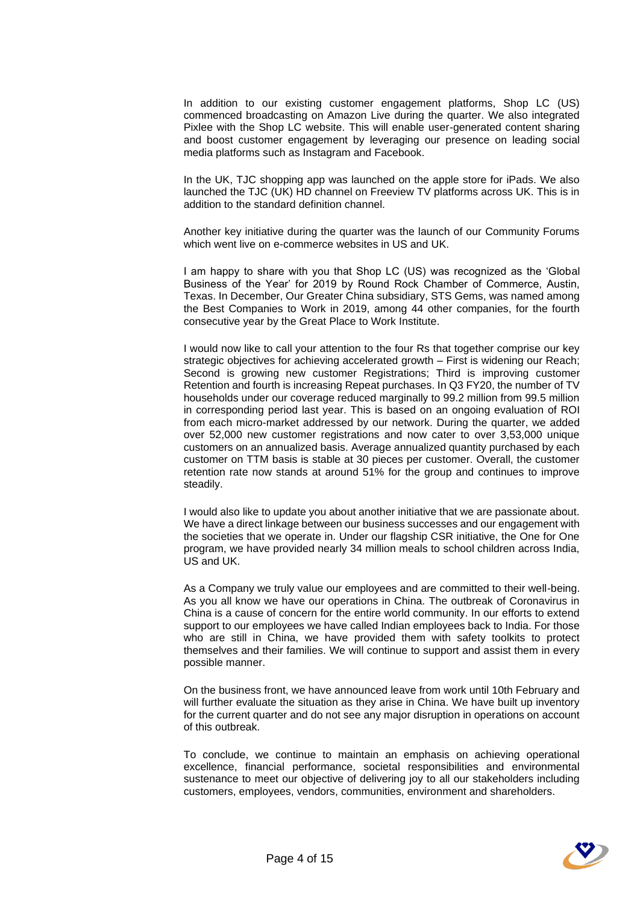In addition to our existing customer engagement platforms, Shop LC (US) commenced broadcasting on Amazon Live during the quarter. We also integrated Pixlee with the Shop LC website. This will enable user-generated content sharing and boost customer engagement by leveraging our presence on leading social media platforms such as Instagram and Facebook.

In the UK, TJC shopping app was launched on the apple store for iPads. We also launched the TJC (UK) HD channel on Freeview TV platforms across UK. This is in addition to the standard definition channel.

Another key initiative during the quarter was the launch of our Community Forums which went live on e-commerce websites in US and UK.

I am happy to share with you that Shop LC (US) was recognized as the 'Global Business of the Year' for 2019 by Round Rock Chamber of Commerce, Austin, Texas. In December, Our Greater China subsidiary, STS Gems, was named among the Best Companies to Work in 2019, among 44 other companies, for the fourth consecutive year by the Great Place to Work Institute.

I would now like to call your attention to the four Rs that together comprise our key strategic objectives for achieving accelerated growth – First is widening our Reach; Second is growing new customer Registrations; Third is improving customer Retention and fourth is increasing Repeat purchases. In Q3 FY20, the number of TV households under our coverage reduced marginally to 99.2 million from 99.5 million in corresponding period last year. This is based on an ongoing evaluation of ROI from each micro-market addressed by our network. During the quarter, we added over 52,000 new customer registrations and now cater to over 3,53,000 unique customers on an annualized basis. Average annualized quantity purchased by each customer on TTM basis is stable at 30 pieces per customer. Overall, the customer retention rate now stands at around 51% for the group and continues to improve steadily.

I would also like to update you about another initiative that we are passionate about. We have a direct linkage between our business successes and our engagement with the societies that we operate in. Under our flagship CSR initiative, the One for One program, we have provided nearly 34 million meals to school children across India, US and UK.

As a Company we truly value our employees and are committed to their well-being. As you all know we have our operations in China. The outbreak of Coronavirus in China is a cause of concern for the entire world community. In our efforts to extend support to our employees we have called Indian employees back to India. For those who are still in China, we have provided them with safety toolkits to protect themselves and their families. We will continue to support and assist them in every possible manner.

On the business front, we have announced leave from work until 10th February and will further evaluate the situation as they arise in China. We have built up inventory for the current quarter and do not see any major disruption in operations on account of this outbreak.

To conclude, we continue to maintain an emphasis on achieving operational excellence, financial performance, societal responsibilities and environmental sustenance to meet our objective of delivering joy to all our stakeholders including customers, employees, vendors, communities, environment and shareholders.

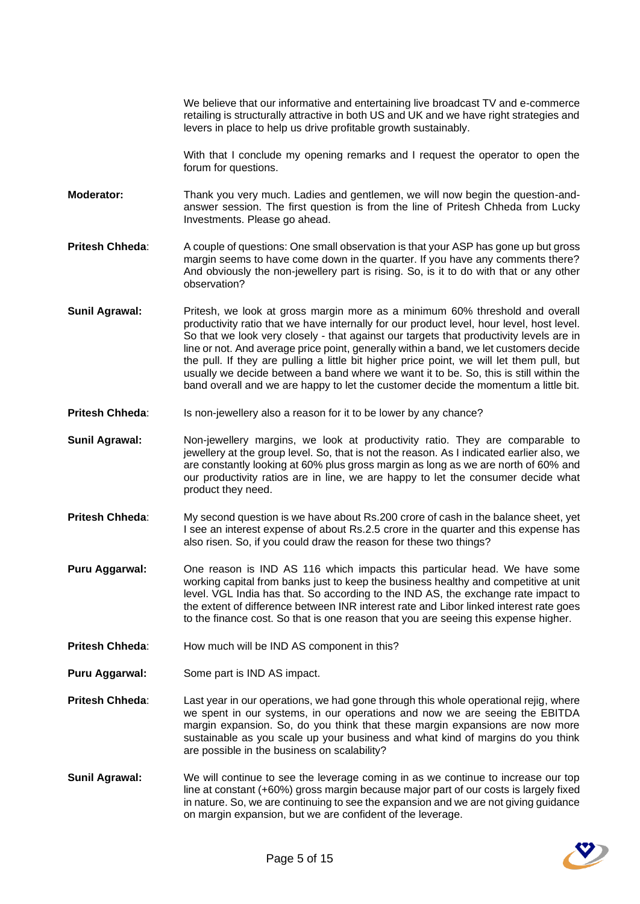We believe that our informative and entertaining live broadcast TV and e-commerce retailing is structurally attractive in both US and UK and we have right strategies and levers in place to help us drive profitable growth sustainably.

With that I conclude my opening remarks and I request the operator to open the forum for questions.

**Moderator:** Thank you very much. Ladies and gentlemen, we will now begin the question-andanswer session. The first question is from the line of Pritesh Chheda from Lucky Investments. Please go ahead.

**Pritesh Chheda:** A couple of questions: One small observation is that your ASP has gone up but gross margin seems to have come down in the quarter. If you have any comments there? And obviously the non-jewellery part is rising. So, is it to do with that or any other observation?

**Sunil Agrawal:** Pritesh, we look at gross margin more as a minimum 60% threshold and overall productivity ratio that we have internally for our product level, hour level, host level. So that we look very closely - that against our targets that productivity levels are in line or not. And average price point, generally within a band, we let customers decide the pull. If they are pulling a little bit higher price point, we will let them pull, but usually we decide between a band where we want it to be. So, this is still within the band overall and we are happy to let the customer decide the momentum a little bit.

- Pritesh Chheda: Is non-jewellery also a reason for it to be lower by any chance?
- **Sunil Agrawal:** Non-jewellery margins, we look at productivity ratio. They are comparable to jewellery at the group level. So, that is not the reason. As I indicated earlier also, we are constantly looking at 60% plus gross margin as long as we are north of 60% and our productivity ratios are in line, we are happy to let the consumer decide what product they need.
- **Pritesh Chheda:** My second question is we have about Rs.200 crore of cash in the balance sheet, yet I see an interest expense of about Rs.2.5 crore in the quarter and this expense has also risen. So, if you could draw the reason for these two things?
- **Puru Aggarwal:** One reason is IND AS 116 which impacts this particular head. We have some working capital from banks just to keep the business healthy and competitive at unit level. VGL India has that. So according to the IND AS, the exchange rate impact to the extent of difference between INR interest rate and Libor linked interest rate goes to the finance cost. So that is one reason that you are seeing this expense higher.
- **Pritesh Chheda:** How much will be IND AS component in this?
- **Puru Aggarwal:** Some part is IND AS impact.
- **Pritesh Chheda:** Last year in our operations, we had gone through this whole operational rejig, where we spent in our systems, in our operations and now we are seeing the EBITDA margin expansion. So, do you think that these margin expansions are now more sustainable as you scale up your business and what kind of margins do you think are possible in the business on scalability?
- **Sunil Agrawal:** We will continue to see the leverage coming in as we continue to increase our top line at constant (+60%) gross margin because major part of our costs is largely fixed in nature. So, we are continuing to see the expansion and we are not giving guidance on margin expansion, but we are confident of the leverage.

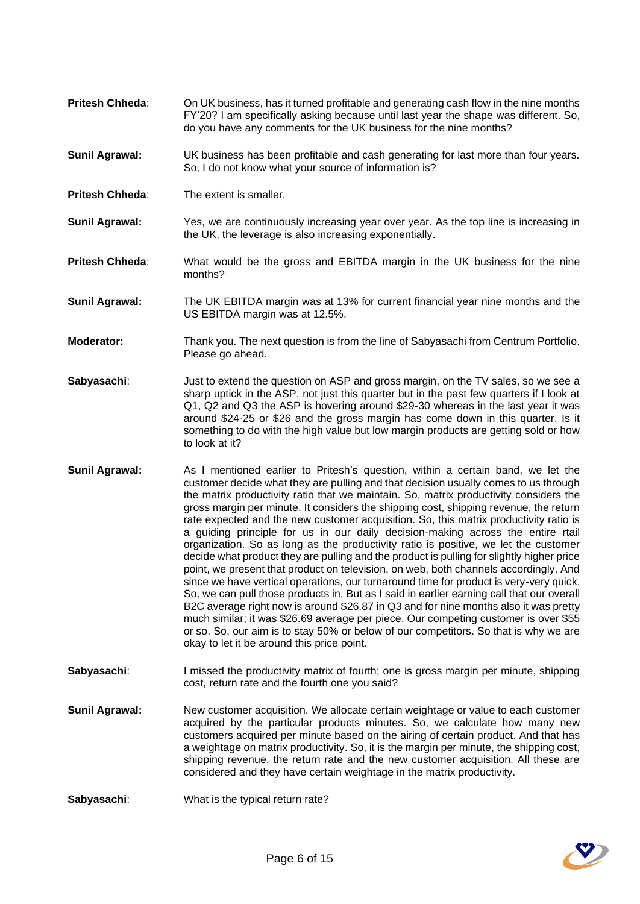- **Pritesh Chheda**: On UK business, has it turned profitable and generating cash flow in the nine months FY'20? I am specifically asking because until last year the shape was different. So, do you have any comments for the UK business for the nine months?
- **Sunil Agrawal:** UK business has been profitable and cash generating for last more than four years. So, I do not know what your source of information is?
- **Pritesh Chheda**: The extent is smaller.
- **Sunil Agrawal:** Yes, we are continuously increasing year over year. As the top line is increasing in the UK, the leverage is also increasing exponentially.
- **Pritesh Chheda**: What would be the gross and EBITDA margin in the UK business for the nine months?
- **Sunil Agrawal:** The UK EBITDA margin was at 13% for current financial year nine months and the US EBITDA margin was at 12.5%.
- **Moderator:** Thank you. The next question is from the line of Sabyasachi from Centrum Portfolio. Please go ahead.
- **Sabyasachi:** Just to extend the question on ASP and gross margin, on the TV sales, so we see a sharp uptick in the ASP, not just this quarter but in the past few quarters if I look at Q1, Q2 and Q3 the ASP is hovering around \$29-30 whereas in the last year it was around \$24-25 or \$26 and the gross margin has come down in this quarter. Is it something to do with the high value but low margin products are getting sold or how to look at it?
- **Sunil Agrawal:** As I mentioned earlier to Pritesh's question, within a certain band, we let the customer decide what they are pulling and that decision usually comes to us through the matrix productivity ratio that we maintain. So, matrix productivity considers the gross margin per minute. It considers the shipping cost, shipping revenue, the return rate expected and the new customer acquisition. So, this matrix productivity ratio is a guiding principle for us in our daily decision-making across the entire rtail organization. So as long as the productivity ratio is positive, we let the customer decide what product they are pulling and the product is pulling for slightly higher price point, we present that product on television, on web, both channels accordingly. And since we have vertical operations, our turnaround time for product is very-very quick. So, we can pull those products in. But as I said in earlier earning call that our overall B2C average right now is around \$26.87 in Q3 and for nine months also it was pretty much similar; it was \$26.69 average per piece. Our competing customer is over \$55 or so. So, our aim is to stay 50% or below of our competitors. So that is why we are okay to let it be around this price point.
- **Sabyasachi:** I missed the productivity matrix of fourth; one is gross margin per minute, shipping cost, return rate and the fourth one you said?
- **Sunil Agrawal:** New customer acquisition. We allocate certain weightage or value to each customer acquired by the particular products minutes. So, we calculate how many new customers acquired per minute based on the airing of certain product. And that has a weightage on matrix productivity. So, it is the margin per minute, the shipping cost, shipping revenue, the return rate and the new customer acquisition. All these are considered and they have certain weightage in the matrix productivity.
- **Sabyasachi**: What is the typical return rate?

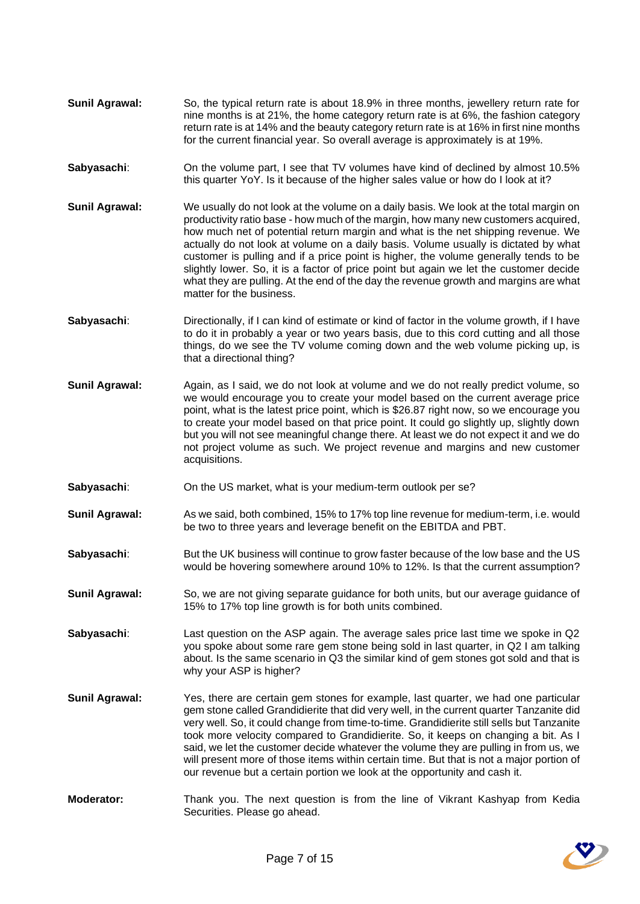- **Sunil Agrawal:** So, the typical return rate is about 18.9% in three months, jewellery return rate for nine months is at 21%, the home category return rate is at 6%, the fashion category return rate is at 14% and the beauty category return rate is at 16% in first nine months for the current financial year. So overall average is approximately is at 19%.
- **Sabyasachi:** On the volume part, I see that TV volumes have kind of declined by almost 10.5% this quarter YoY. Is it because of the higher sales value or how do I look at it?
- **Sunil Agrawal:** We usually do not look at the volume on a daily basis. We look at the total margin on productivity ratio base - how much of the margin, how many new customers acquired, how much net of potential return margin and what is the net shipping revenue. We actually do not look at volume on a daily basis. Volume usually is dictated by what customer is pulling and if a price point is higher, the volume generally tends to be slightly lower. So, it is a factor of price point but again we let the customer decide what they are pulling. At the end of the day the revenue growth and margins are what matter for the business.
- **Sabyasachi:** Directionally, if I can kind of estimate or kind of factor in the volume growth, if I have to do it in probably a year or two years basis, due to this cord cutting and all those things, do we see the TV volume coming down and the web volume picking up, is that a directional thing?
- **Sunil Agrawal:** Again, as I said, we do not look at volume and we do not really predict volume, so we would encourage you to create your model based on the current average price point, what is the latest price point, which is \$26.87 right now, so we encourage you to create your model based on that price point. It could go slightly up, slightly down but you will not see meaningful change there. At least we do not expect it and we do not project volume as such. We project revenue and margins and new customer acquisitions.
- Sabyasachi: On the US market, what is your medium-term outlook per se?
- **Sunil Agrawal:** As we said, both combined, 15% to 17% top line revenue for medium-term, i.e. would be two to three years and leverage benefit on the EBITDA and PBT.
- **Sabyasachi:** But the UK business will continue to grow faster because of the low base and the US would be hovering somewhere around 10% to 12%. Is that the current assumption?
- **Sunil Agrawal:** So, we are not giving separate guidance for both units, but our average guidance of 15% to 17% top line growth is for both units combined.
- **Sabyasachi:** Last question on the ASP again. The average sales price last time we spoke in Q2 you spoke about some rare gem stone being sold in last quarter, in Q2 I am talking about. Is the same scenario in Q3 the similar kind of gem stones got sold and that is why your ASP is higher?
- **Sunil Agrawal:** Yes, there are certain gem stones for example, last quarter, we had one particular gem stone called Grandidierite that did very well, in the current quarter Tanzanite did very well. So, it could change from time-to-time. Grandidierite still sells but Tanzanite took more velocity compared to Grandidierite. So, it keeps on changing a bit. As I said, we let the customer decide whatever the volume they are pulling in from us, we will present more of those items within certain time. But that is not a major portion of our revenue but a certain portion we look at the opportunity and cash it.
- **Moderator:** Thank you. The next question is from the line of Vikrant Kashyap from Kedia Securities. Please go ahead.

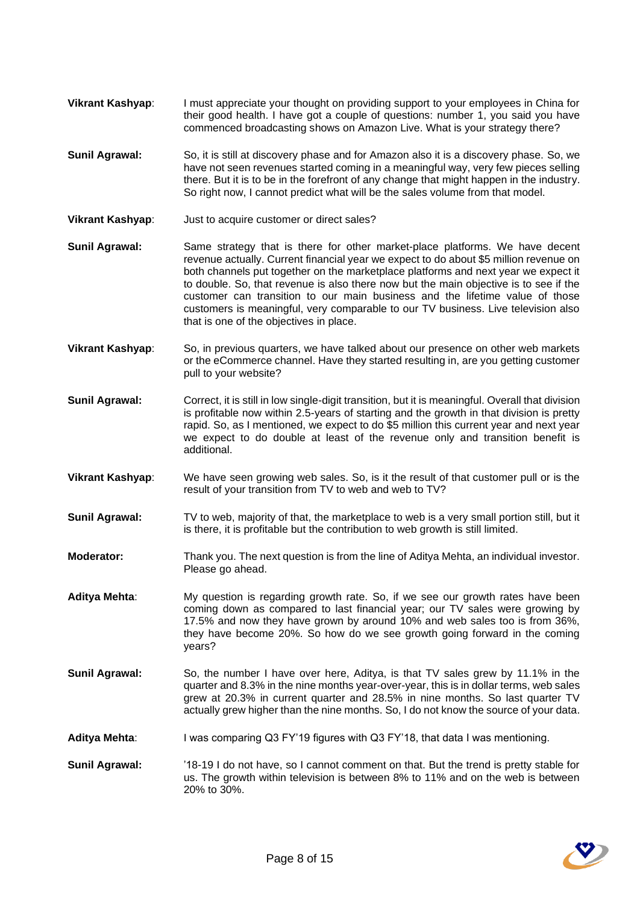- **Vikrant Kashyap**: I must appreciate your thought on providing support to your employees in China for their good health. I have got a couple of questions: number 1, you said you have commenced broadcasting shows on Amazon Live. What is your strategy there?
- **Sunil Agrawal:** So, it is still at discovery phase and for Amazon also it is a discovery phase. So, we have not seen revenues started coming in a meaningful way, very few pieces selling there. But it is to be in the forefront of any change that might happen in the industry. So right now, I cannot predict what will be the sales volume from that model.
- **Vikrant Kashyap**: Just to acquire customer or direct sales?
- **Sunil Agrawal:** Same strategy that is there for other market-place platforms. We have decent revenue actually. Current financial year we expect to do about \$5 million revenue on both channels put together on the marketplace platforms and next year we expect it to double. So, that revenue is also there now but the main objective is to see if the customer can transition to our main business and the lifetime value of those customers is meaningful, very comparable to our TV business. Live television also that is one of the objectives in place.
- **Vikrant Kashyap:** So, in previous quarters, we have talked about our presence on other web markets or the eCommerce channel. Have they started resulting in, are you getting customer pull to your website?
- **Sunil Agrawal:** Correct, it is still in low single-digit transition, but it is meaningful. Overall that division is profitable now within 2.5-years of starting and the growth in that division is pretty rapid. So, as I mentioned, we expect to do \$5 million this current year and next year we expect to do double at least of the revenue only and transition benefit is additional.
- **Vikrant Kashyap**: We have seen growing web sales. So, is it the result of that customer pull or is the result of your transition from TV to web and web to TV?
- **Sunil Agrawal:** TV to web, majority of that, the marketplace to web is a very small portion still, but it is there, it is profitable but the contribution to web growth is still limited.
- **Moderator:** Thank you. The next question is from the line of Aditya Mehta, an individual investor. Please go ahead.
- **Aditya Mehta**: My question is regarding growth rate. So, if we see our growth rates have been coming down as compared to last financial year; our TV sales were growing by 17.5% and now they have grown by around 10% and web sales too is from 36%, they have become 20%. So how do we see growth going forward in the coming years?
- **Sunil Agrawal:** So, the number I have over here, Aditya, is that TV sales grew by 11.1% in the quarter and 8.3% in the nine months year-over-year, this is in dollar terms, web sales grew at 20.3% in current quarter and 28.5% in nine months. So last quarter TV actually grew higher than the nine months. So, I do not know the source of your data.
- **Aditya Mehta**: I was comparing Q3 FY'19 figures with Q3 FY'18, that data I was mentioning.
- **Sunil Agrawal:** '18-19 I do not have, so I cannot comment on that. But the trend is pretty stable for us. The growth within television is between 8% to 11% and on the web is between 20% to 30%.

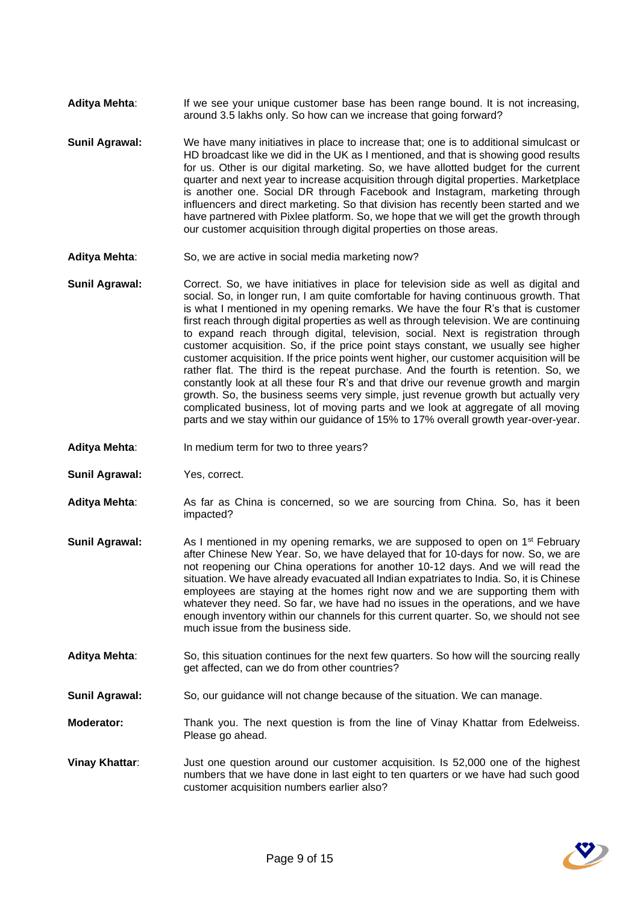- Aditya Mehta: If we see your unique customer base has been range bound. It is not increasing, around 3.5 lakhs only. So how can we increase that going forward?
- **Sunil Agrawal:** We have many initiatives in place to increase that; one is to additional simulcast or HD broadcast like we did in the UK as I mentioned, and that is showing good results for us. Other is our digital marketing. So, we have allotted budget for the current quarter and next year to increase acquisition through digital properties. Marketplace is another one. Social DR through Facebook and Instagram, marketing through influencers and direct marketing. So that division has recently been started and we have partnered with Pixlee platform. So, we hope that we will get the growth through our customer acquisition through digital properties on those areas.
- **Aditya Mehta**: So, we are active in social media marketing now?
- **Sunil Agrawal:** Correct. So, we have initiatives in place for television side as well as digital and social. So, in longer run, I am quite comfortable for having continuous growth. That is what I mentioned in my opening remarks. We have the four R's that is customer first reach through digital properties as well as through television. We are continuing to expand reach through digital, television, social. Next is registration through customer acquisition. So, if the price point stays constant, we usually see higher customer acquisition. If the price points went higher, our customer acquisition will be rather flat. The third is the repeat purchase. And the fourth is retention. So, we constantly look at all these four R's and that drive our revenue growth and margin growth. So, the business seems very simple, just revenue growth but actually very complicated business, lot of moving parts and we look at aggregate of all moving parts and we stay within our guidance of 15% to 17% overall growth year-over-year.
- Aditya Mehta: In medium term for two to three years?
- **Sunil Agrawal:** Yes, correct.
- **Aditya Mehta**: As far as China is concerned, so we are sourcing from China. So, has it been impacted?
- **Sunil Agrawal:** As I mentioned in my opening remarks, we are supposed to open on 1<sup>st</sup> February after Chinese New Year. So, we have delayed that for 10-days for now. So, we are not reopening our China operations for another 10-12 days. And we will read the situation. We have already evacuated all Indian expatriates to India. So, it is Chinese employees are staying at the homes right now and we are supporting them with whatever they need. So far, we have had no issues in the operations, and we have enough inventory within our channels for this current quarter. So, we should not see much issue from the business side.
- **Aditya Mehta**: So, this situation continues for the next few quarters. So how will the sourcing really get affected, can we do from other countries?
- **Sunil Agrawal:** So, our guidance will not change because of the situation. We can manage.
- **Moderator:** Thank you. The next question is from the line of Vinay Khattar from Edelweiss. Please go ahead.
- **Vinay Khattar:** Just one question around our customer acquisition. Is 52,000 one of the highest numbers that we have done in last eight to ten quarters or we have had such good customer acquisition numbers earlier also?

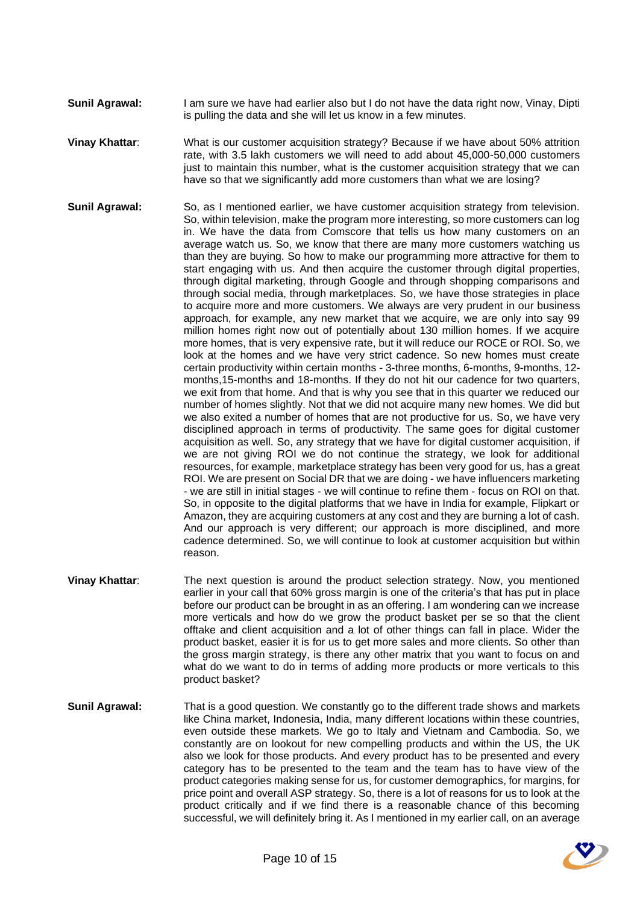- **Sunil Agrawal:** I am sure we have had earlier also but I do not have the data right now, Vinay, Dipti is pulling the data and she will let us know in a few minutes.
- **Vinay Khattar**: What is our customer acquisition strategy? Because if we have about 50% attrition rate, with 3.5 lakh customers we will need to add about 45,000-50,000 customers just to maintain this number, what is the customer acquisition strategy that we can have so that we significantly add more customers than what we are losing?
- **Sunil Agrawal:** So, as I mentioned earlier, we have customer acquisition strategy from television. So, within television, make the program more interesting, so more customers can log in. We have the data from Comscore that tells us how many customers on an average watch us. So, we know that there are many more customers watching us than they are buying. So how to make our programming more attractive for them to start engaging with us. And then acquire the customer through digital properties, through digital marketing, through Google and through shopping comparisons and through social media, through marketplaces. So, we have those strategies in place to acquire more and more customers. We always are very prudent in our business approach, for example, any new market that we acquire, we are only into say 99 million homes right now out of potentially about 130 million homes. If we acquire more homes, that is very expensive rate, but it will reduce our ROCE or ROI. So, we look at the homes and we have very strict cadence. So new homes must create certain productivity within certain months - 3-three months, 6-months, 9-months, 12 months,15-months and 18-months. If they do not hit our cadence for two quarters, we exit from that home. And that is why you see that in this quarter we reduced our number of homes slightly. Not that we did not acquire many new homes. We did but we also exited a number of homes that are not productive for us. So, we have very disciplined approach in terms of productivity. The same goes for digital customer acquisition as well. So, any strategy that we have for digital customer acquisition, if we are not giving ROI we do not continue the strategy, we look for additional resources, for example, marketplace strategy has been very good for us, has a great ROI. We are present on Social DR that we are doing - we have influencers marketing - we are still in initial stages - we will continue to refine them - focus on ROI on that. So, in opposite to the digital platforms that we have in India for example, Flipkart or Amazon, they are acquiring customers at any cost and they are burning a lot of cash. And our approach is very different; our approach is more disciplined, and more cadence determined. So, we will continue to look at customer acquisition but within reason.
- **Vinay Khattar:** The next question is around the product selection strategy. Now, you mentioned earlier in your call that 60% gross margin is one of the criteria's that has put in place before our product can be brought in as an offering. I am wondering can we increase more verticals and how do we grow the product basket per se so that the client offtake and client acquisition and a lot of other things can fall in place. Wider the product basket, easier it is for us to get more sales and more clients. So other than the gross margin strategy, is there any other matrix that you want to focus on and what do we want to do in terms of adding more products or more verticals to this product basket?
- **Sunil Agrawal:** That is a good question. We constantly go to the different trade shows and markets like China market, Indonesia, India, many different locations within these countries, even outside these markets. We go to Italy and Vietnam and Cambodia. So, we constantly are on lookout for new compelling products and within the US, the UK also we look for those products. And every product has to be presented and every category has to be presented to the team and the team has to have view of the product categories making sense for us, for customer demographics, for margins, for price point and overall ASP strategy. So, there is a lot of reasons for us to look at the product critically and if we find there is a reasonable chance of this becoming successful, we will definitely bring it. As I mentioned in my earlier call, on an average

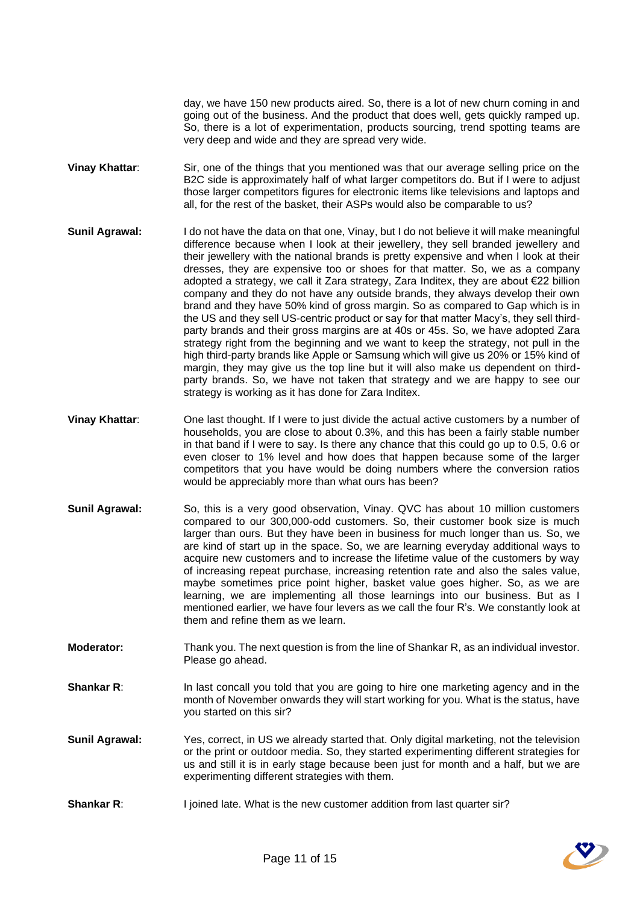day, we have 150 new products aired. So, there is a lot of new churn coming in and going out of the business. And the product that does well, gets quickly ramped up. So, there is a lot of experimentation, products sourcing, trend spotting teams are very deep and wide and they are spread very wide.

- **Vinay Khattar**: Sir, one of the things that you mentioned was that our average selling price on the B2C side is approximately half of what larger competitors do. But if I were to adjust those larger competitors figures for electronic items like televisions and laptops and all, for the rest of the basket, their ASPs would also be comparable to us?
- **Sunil Agrawal:** I do not have the data on that one, Vinay, but I do not believe it will make meaningful difference because when I look at their jewellery, they sell branded jewellery and their jewellery with the national brands is pretty expensive and when I look at their dresses, they are expensive too or shoes for that matter. So, we as a company adopted a strategy, we call it Zara strategy, Zara Inditex, they are about €22 billion company and they do not have any outside brands, they always develop their own brand and they have 50% kind of gross margin. So as compared to Gap which is in the US and they sell US-centric product or say for that matter Macy's, they sell thirdparty brands and their gross margins are at 40s or 45s. So, we have adopted Zara strategy right from the beginning and we want to keep the strategy, not pull in the high third-party brands like Apple or Samsung which will give us 20% or 15% kind of margin, they may give us the top line but it will also make us dependent on thirdparty brands. So, we have not taken that strategy and we are happy to see our strategy is working as it has done for Zara Inditex.
- **Vinay Khattar**: One last thought. If I were to just divide the actual active customers by a number of households, you are close to about 0.3%, and this has been a fairly stable number in that band if I were to say. Is there any chance that this could go up to 0.5, 0.6 or even closer to 1% level and how does that happen because some of the larger competitors that you have would be doing numbers where the conversion ratios would be appreciably more than what ours has been?
- **Sunil Agrawal:** So, this is a very good observation, Vinay. QVC has about 10 million customers compared to our 300,000-odd customers. So, their customer book size is much larger than ours. But they have been in business for much longer than us. So, we are kind of start up in the space. So, we are learning everyday additional ways to acquire new customers and to increase the lifetime value of the customers by way of increasing repeat purchase, increasing retention rate and also the sales value, maybe sometimes price point higher, basket value goes higher. So, as we are learning, we are implementing all those learnings into our business. But as I mentioned earlier, we have four levers as we call the four R's. We constantly look at them and refine them as we learn.
- **Moderator:** Thank you. The next question is from the line of Shankar R, as an individual investor. Please go ahead.
- **Shankar R:** In last concall you told that you are going to hire one marketing agency and in the month of November onwards they will start working for you. What is the status, have you started on this sir?
- **Sunil Agrawal:** Yes, correct, in US we already started that. Only digital marketing, not the television or the print or outdoor media. So, they started experimenting different strategies for us and still it is in early stage because been just for month and a half, but we are experimenting different strategies with them.
- **Shankar R:** I joined late. What is the new customer addition from last quarter sir?

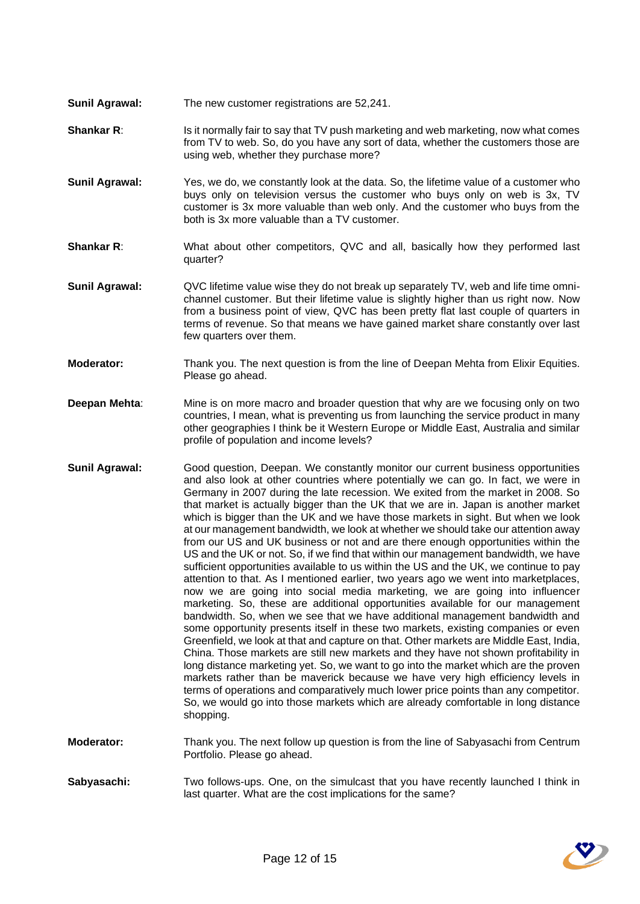- **Sunil Agrawal:** The new customer registrations are 52,241.
- **Shankar R:** Is it normally fair to say that TV push marketing and web marketing, now what comes from TV to web. So, do you have any sort of data, whether the customers those are using web, whether they purchase more?
- **Sunil Agrawal:** Yes, we do, we constantly look at the data. So, the lifetime value of a customer who buys only on television versus the customer who buys only on web is 3x, TV customer is 3x more valuable than web only. And the customer who buys from the both is 3x more valuable than a TV customer.
- **Shankar R:** What about other competitors, QVC and all, basically how they performed last quarter?
- **Sunil Agrawal:** QVC lifetime value wise they do not break up separately TV, web and life time omnichannel customer. But their lifetime value is slightly higher than us right now. Now from a business point of view, QVC has been pretty flat last couple of quarters in terms of revenue. So that means we have gained market share constantly over last few quarters over them.
- **Moderator:** Thank you. The next question is from the line of Deepan Mehta from Elixir Equities. Please go ahead.
- **Deepan Mehta**: Mine is on more macro and broader question that why are we focusing only on two countries, I mean, what is preventing us from launching the service product in many other geographies I think be it Western Europe or Middle East, Australia and similar profile of population and income levels?
- **Sunil Agrawal:** Good question, Deepan. We constantly monitor our current business opportunities and also look at other countries where potentially we can go. In fact, we were in Germany in 2007 during the late recession. We exited from the market in 2008. So that market is actually bigger than the UK that we are in. Japan is another market which is bigger than the UK and we have those markets in sight. But when we look at our management bandwidth, we look at whether we should take our attention away from our US and UK business or not and are there enough opportunities within the US and the UK or not. So, if we find that within our management bandwidth, we have sufficient opportunities available to us within the US and the UK, we continue to pay attention to that. As I mentioned earlier, two years ago we went into marketplaces, now we are going into social media marketing, we are going into influencer marketing. So, these are additional opportunities available for our management bandwidth. So, when we see that we have additional management bandwidth and some opportunity presents itself in these two markets, existing companies or even Greenfield, we look at that and capture on that. Other markets are Middle East, India, China. Those markets are still new markets and they have not shown profitability in long distance marketing yet. So, we want to go into the market which are the proven markets rather than be maverick because we have very high efficiency levels in terms of operations and comparatively much lower price points than any competitor. So, we would go into those markets which are already comfortable in long distance shopping.
- **Moderator:** Thank you. The next follow up question is from the line of Sabyasachi from Centrum Portfolio. Please go ahead.
- **Sabyasachi:** Two follows-ups. One, on the simulcast that you have recently launched I think in last quarter. What are the cost implications for the same?

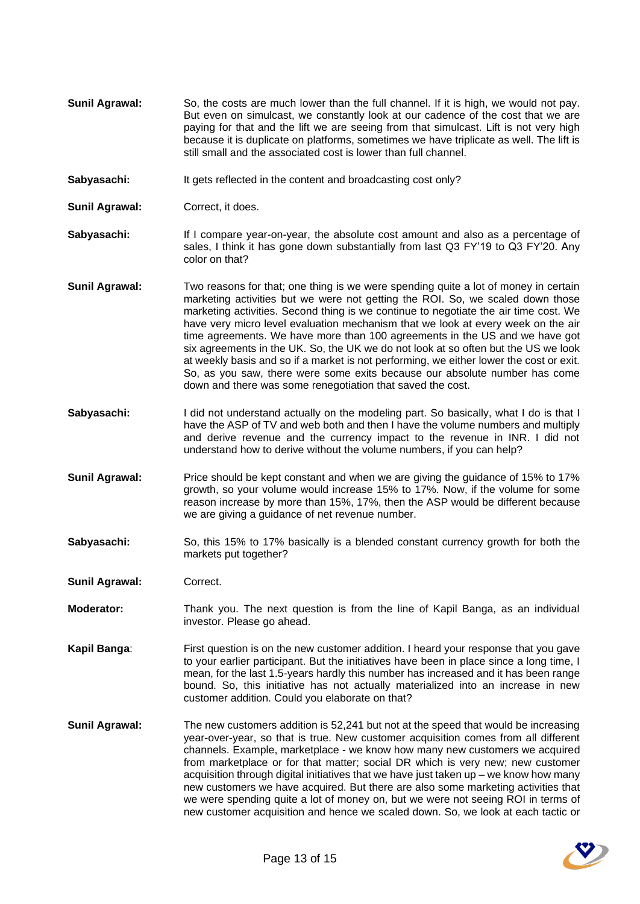- **Sunil Agrawal:** So, the costs are much lower than the full channel. If it is high, we would not pay. But even on simulcast, we constantly look at our cadence of the cost that we are paying for that and the lift we are seeing from that simulcast. Lift is not very high because it is duplicate on platforms, sometimes we have triplicate as well. The lift is still small and the associated cost is lower than full channel.
- **Sabyasachi:** It gets reflected in the content and broadcasting cost only?
- **Sunil Agrawal:** Correct, it does.
- **Sabyasachi:** If I compare year-on-year, the absolute cost amount and also as a percentage of sales, I think it has gone down substantially from last Q3 FY'19 to Q3 FY'20. Any color on that?
- **Sunil Agrawal:** Two reasons for that; one thing is we were spending quite a lot of money in certain marketing activities but we were not getting the ROI. So, we scaled down those marketing activities. Second thing is we continue to negotiate the air time cost. We have very micro level evaluation mechanism that we look at every week on the air time agreements. We have more than 100 agreements in the US and we have got six agreements in the UK. So, the UK we do not look at so often but the US we look at weekly basis and so if a market is not performing, we either lower the cost or exit. So, as you saw, there were some exits because our absolute number has come down and there was some renegotiation that saved the cost.
- **Sabyasachi:** I did not understand actually on the modeling part. So basically, what I do is that I have the ASP of TV and web both and then I have the volume numbers and multiply and derive revenue and the currency impact to the revenue in INR. I did not understand how to derive without the volume numbers, if you can help?
- **Sunil Agrawal:** Price should be kept constant and when we are giving the guidance of 15% to 17% growth, so your volume would increase 15% to 17%. Now, if the volume for some reason increase by more than 15%, 17%, then the ASP would be different because we are giving a guidance of net revenue number.
- **Sabyasachi:** So, this 15% to 17% basically is a blended constant currency growth for both the markets put together?
- **Sunil Agrawal:** Correct.
- **Moderator:** Thank you. The next question is from the line of Kapil Banga, as an individual investor. Please go ahead.
- **Kapil Banga**: First question is on the new customer addition. I heard your response that you gave to your earlier participant. But the initiatives have been in place since a long time, I mean, for the last 1.5-years hardly this number has increased and it has been range bound. So, this initiative has not actually materialized into an increase in new customer addition. Could you elaborate on that?
- **Sunil Agrawal:** The new customers addition is 52,241 but not at the speed that would be increasing year-over-year, so that is true. New customer acquisition comes from all different channels. Example, marketplace - we know how many new customers we acquired from marketplace or for that matter; social DR which is very new; new customer acquisition through digital initiatives that we have just taken up – we know how many new customers we have acquired. But there are also some marketing activities that we were spending quite a lot of money on, but we were not seeing ROI in terms of new customer acquisition and hence we scaled down. So, we look at each tactic or

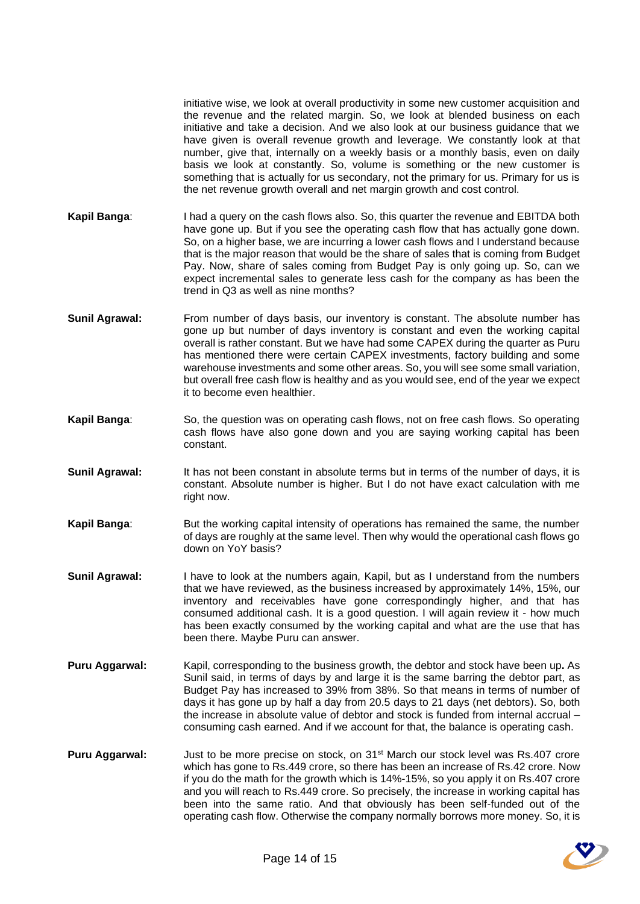initiative wise, we look at overall productivity in some new customer acquisition and the revenue and the related margin. So, we look at blended business on each initiative and take a decision. And we also look at our business guidance that we have given is overall revenue growth and leverage. We constantly look at that number, give that, internally on a weekly basis or a monthly basis, even on daily basis we look at constantly. So, volume is something or the new customer is something that is actually for us secondary, not the primary for us. Primary for us is the net revenue growth overall and net margin growth and cost control.

- **Kapil Banga**: I had a query on the cash flows also. So, this quarter the revenue and EBITDA both have gone up. But if you see the operating cash flow that has actually gone down. So, on a higher base, we are incurring a lower cash flows and I understand because that is the major reason that would be the share of sales that is coming from Budget Pay. Now, share of sales coming from Budget Pay is only going up. So, can we expect incremental sales to generate less cash for the company as has been the trend in Q3 as well as nine months?
- **Sunil Agrawal:** From number of days basis, our inventory is constant. The absolute number has gone up but number of days inventory is constant and even the working capital overall is rather constant. But we have had some CAPEX during the quarter as Puru has mentioned there were certain CAPEX investments, factory building and some warehouse investments and some other areas. So, you will see some small variation, but overall free cash flow is healthy and as you would see, end of the year we expect it to become even healthier.
- **Kapil Banga**: So, the question was on operating cash flows, not on free cash flows. So operating cash flows have also gone down and you are saying working capital has been constant.
- **Sunil Agrawal:** It has not been constant in absolute terms but in terms of the number of days, it is constant. Absolute number is higher. But I do not have exact calculation with me right now.
- **Kapil Banga:** But the working capital intensity of operations has remained the same, the number of days are roughly at the same level. Then why would the operational cash flows go down on YoY basis?
- **Sunil Agrawal:** I have to look at the numbers again, Kapil, but as I understand from the numbers that we have reviewed, as the business increased by approximately 14%, 15%, our inventory and receivables have gone correspondingly higher, and that has consumed additional cash. It is a good question. I will again review it - how much has been exactly consumed by the working capital and what are the use that has been there. Maybe Puru can answer.
- **Puru Aggarwal:** Kapil, corresponding to the business growth, the debtor and stock have been up**.** As Sunil said, in terms of days by and large it is the same barring the debtor part, as Budget Pay has increased to 39% from 38%. So that means in terms of number of days it has gone up by half a day from 20.5 days to 21 days (net debtors). So, both the increase in absolute value of debtor and stock is funded from internal accrual – consuming cash earned. And if we account for that, the balance is operating cash.
- **Puru Aggarwal:** Just to be more precise on stock, on 31<sup>st</sup> March our stock level was Rs.407 crore which has gone to Rs.449 crore, so there has been an increase of Rs.42 crore. Now if you do the math for the growth which is 14%-15%, so you apply it on Rs.407 crore and you will reach to Rs.449 crore. So precisely, the increase in working capital has been into the same ratio. And that obviously has been self-funded out of the operating cash flow. Otherwise the company normally borrows more money. So, it is